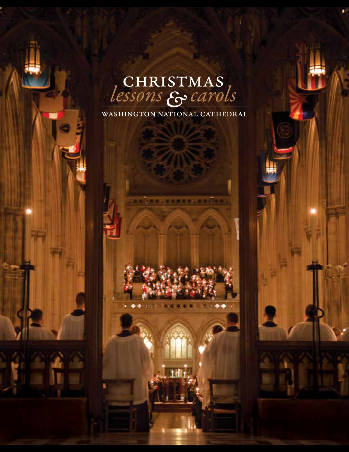# Lessons & carols

WASHINGTON NATIONAL CATHEDRAL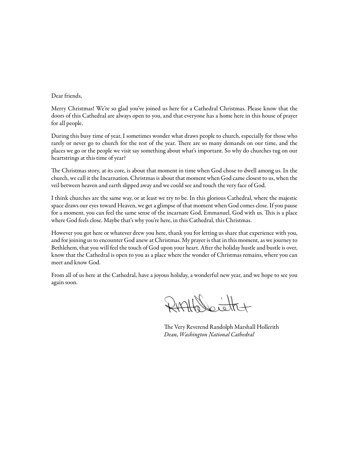Dear friends,

Merry Christmas! We're so glad you've joined us here for a Cathedral Christmas. Please know that the doors of this Cathedral are always open to you, and that everyone has a home here in this house of prayer for all people.

During this busy time of year, I sometimes wonder what draws people to church, especially for those who rarely or never go to church for the rest of the year. There are so many demands on our time, and the places we go or the people we visit say something about what's important. So why do churches tug on our heartstrings at this time of year?

The Christmas story, at its core, is about that moment in time when God chose to dwell among us. In the church, we call it the Incarnation. Christmas is about that moment when God came closest to us, when the veil between heaven and earth slipped away and we could see and touch the very face of God.

I think churches are the same way, or at least we try to be. In this glorious Cathedral, where the majestic space draws our eyes toward Heaven, we get a glimpse of that moment when God comes close. If you pause for a moment, you can feel the same sense of the incarnate God, Emmanuel, God with us. This is a place where God feels close. Maybe that's why you're here, in this Cathedral, this Christmas.

However you got here or whatever drew you here, thank you for letting us share that experience with you, and for joining us to encounter God anew at Christmas. My prayer is that in this moment, as we journey to Bethlehem, that you will feel the touch of God upon your heart. After the holiday hustle and bustle is over, know that the Cathedral is open to you as a place where the wonder of Christmas remains, where you can meet and know God.

From all of us here at the Cathedral, have a joyous holiday, a wonderful new year, and we hope to see you again soon.

RHAHOLietty

The Very Reverend Randolph Marshall Hollerith *Dean, Washington National Cathedral*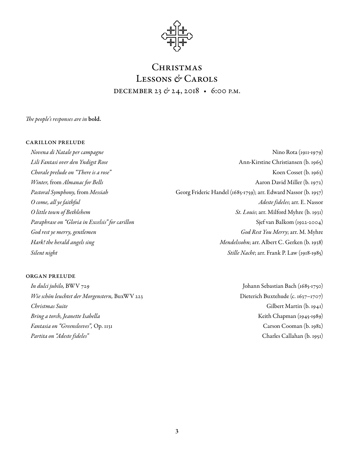

# CHRISTMAS Lessons *&* Carols december 23 *&* 24, 2018 • 6:00 p.m.

*The people's responses are in* bold.

# carillon prelude

*Novena di Natale per campagne* Nino Rota (1911-1979)

*Lili Fantasi over den Yndigst Rose* Ann-Kirstine Christiansen (b. 1965) *Chorale prelude on "There is a rose"* Koen Cosset (b. 1963) *Winter, from Almanac for Bells* Aaron David Miller (b. 1972) *Pastoral Symphony,* from *Messiah* Georg Frideric Handel (1685-1759); arr. Edward Nassor (b. 1957) *O come, all ye faithful Adeste fideles*;arr. E. Nassor *O little town of Bethlehem St. Louis*;arr. Milford Myhre (b. 1931) *Paraphrase on "Gloria in Excelsis" for carillon* Specific Section Sjef van Balkom (1922-2004) *God rest ye merry, gentlemen God Rest You Merry*;arr. M. Myhre *Hark! the herald angels sing Mendelssohn*; arr. Albert C. Gerken (b. 1938) *Silent night Stille Nacht*;arr. Frank P. Law (1918-1985)

# organ prelude

*In dulci jubilo,* BWV 729 Johann Sebastian Bach (1685-1750) *Wie schön leuchtet der Morgenstern*, BuxWV 223 Dieterich Buxtehude (c. 1637–1707) *Christmas Suite* Gilbert Martin (b. 1941) *Bring a torch, Jeanette Isabella* (1945-1989) *Fantasia on "Greensleeves",* Op. 1131 Carson Cooman (b. 1982) *Partita on "Adeste fideles"* Charles Callahan (b. 1951)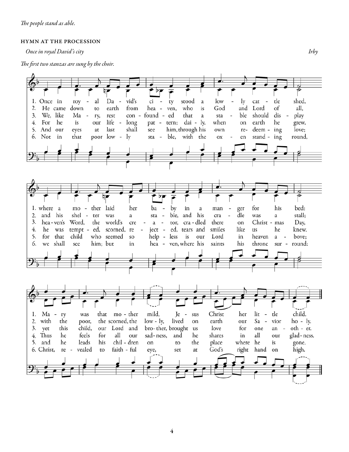# hymn at the procession

*Once in royal David's city Irby*

*The first two stanzas are sung by the choir.*

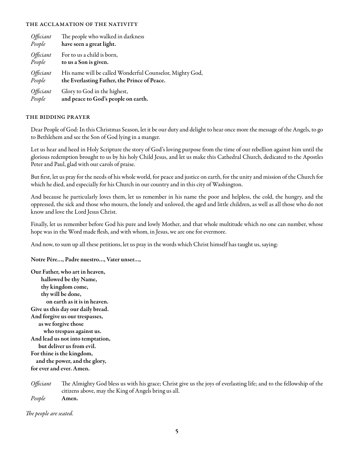# the acclamation of the nativity

| Officiant | The people who walked in darkness                        |
|-----------|----------------------------------------------------------|
| People    | have seen a great light.                                 |
| Officiant | For to us a child is born,                               |
| People    | to us a Son is given.                                    |
| Officiant | His name will be called Wonderful Counselor, Mighty God, |
| People    | the Everlasting Father, the Prince of Peace.             |
| Officiant | Glory to God in the highest,                             |
| People    | and peace to God's people on earth.                      |

# the bidding prayer

Dear People of God: In this Christmas Season, let it be our duty and delight to hear once more the message of the Angels, to go to Bethlehem and see the Son of God lying in a manger.

Let us hear and heed in Holy Scripture the story of God's loving purpose from the time of our rebellion against him until the glorious redemption brought to us by his holy Child Jesus, and let us make this Cathedral Church, dedicated to the Apostles Peter and Paul, glad with our carols of praise.

But first, let us pray for the needs of his whole world, for peace and justice on earth, for the unity and mission of the Church for which he died, and especially for his Church in our country and in this city of Washington.

And because he particularly loves them, let us remember in his name the poor and helpless, the cold, the hungry, and the oppressed, the sick and those who mourn, the lonely and unloved, the aged and little children, as well as all those who do not know and love the Lord Jesus Christ.

Finally, let us remember before God his pure and lowly Mother, and that whole multitude which no one can number, whose hope was in the Word made flesh, and with whom, in Jesus, we are one for evermore.

And now, to sum up all these petitions, let us pray in the words which Christ himself has taught us, saying:

Notre Père…, Padre nuestro…, Vater unser…,

Our Father, who art in heaven, hallowed be thy Name, thy kingdom come, thy will be done, on earth as it is in heaven. Give us this day our daily bread. And forgive us our trespasses, as we forgive those who trespass against us. And lead us not into temptation, but deliver us from evil. For thine is the kingdom, and the power, and the glory, for ever and ever. Amen.

*Officiant* The Almighty God bless us with his grace; Christ give us the joys of everlasting life; and to the fellowship of the citizens above, may the King of Angels bring us all.

*People* Amen.

*The people are seated.*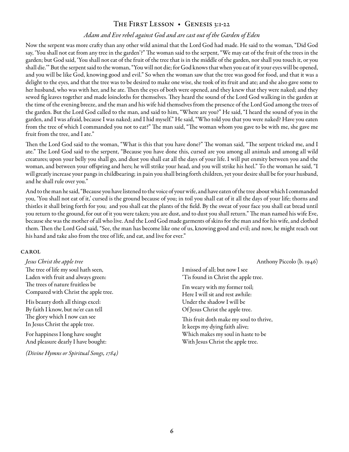# THE FIRST LESSON • GENESIS 3:1-22

# *Adam and Eve rebel against God and are cast out of the Garden of Eden*

Now the serpent was more crafty than any other wild animal that the Lord God had made. He said to the woman, "Did God say, 'You shall not eat from any tree in the garden'?" The woman said to the serpent, "We may eat of the fruit of the trees in the garden; but God said, 'You shall not eat of the fruit of the tree that is in the middle of the garden, nor shall you touch it, or you shall die.'" But the serpent said to the woman, "You will not die; for God knows that when you eat of it your eyes will be opened, and you will be like God, knowing good and evil." So when the woman saw that the tree was good for food, and that it was a delight to the eyes, and that the tree was to be desired to make one wise, she took of its fruit and ate; and she also gave some to her husband, who was with her, and he ate. Then the eyes of both were opened, and they knew that they were naked; and they sewed fig leaves together and made loincloths for themselves. They heard the sound of the Lord God walking in the garden at the time of the evening breeze, and the man and his wife hid themselves from the presence of the Lord God among the trees of the garden. But the Lord God called to the man, and said to him, "Where are you?" He said, "I heard the sound of you in the garden, and I was afraid, because I was naked; and I hid myself." He said, "Who told you that you were naked? Have you eaten from the tree of which I commanded you not to eat?" The man said, "The woman whom you gave to be with me, she gave me fruit from the tree, and I ate."

Then the Lord God said to the woman, "What is this that you have done?" The woman said, "The serpent tricked me, and I ate." The Lord God said to the serpent, "Because you have done this, cursed are you among all animals and among all wild creatures; upon your belly you shall go, and dust you shall eat all the days of your life. I will put enmity between you and the woman,and between your offspring and hers; he will strike your head, and you will strike his heel." To the woman he said, "I will greatly increase your pangs in childbearing; in pain you shall bring forth children, yet your desire shall be for your husband, and he shall rule over you."

And to the man he said, "Because you have listened to the voice of your wife, and have eaten of the tree about which I commanded you, 'You shall not eat of it,'cursed is the ground because of you; in toil you shall eat of it all the days of your life; thorns and thistles it shall bring forth for you; and you shall eat the plants of the field. By the sweat of your face you shall eat bread until you return to the ground, for out of it you were taken; you are dust, and to dust you shall return." The man named his wife Eve, because she was the mother of all who live. And the Lord God made garments of skins for the man and for his wife, and clothed them. Then the Lord God said, "See, the man has become like one of us, knowing good and evil; and now, he might reach out his hand and take also from the tree of life, and eat, and live for ever."

# **CAROL**

The tree of life my soul hath seen, Laden with fruit and always green: The trees of nature fruitless be Compared with Christ the apple tree.

His beauty doth all things excel: By faith I know, but ne'er can tell The glory which I now can see In Jesus Christ the apple tree.

For happiness I long have sought And pleasure dearly I have bought:

*(Divine Hymns or Spiritual Songs, 1784)*

*Jesus Christ the apple tree* Anthony Piccolo (b. 1946)

I missed of all; but now I see 'Tis found in Christ the apple tree.

I'm weary with my former toil; Here I will sit and rest awhile: Under the shadow I will be Of Jesus Christ the apple tree.

This fruit doth make my soul to thrive, It keeps my dying faith alive; Which makes my soul in haste to be With Jesus Christ the apple tree.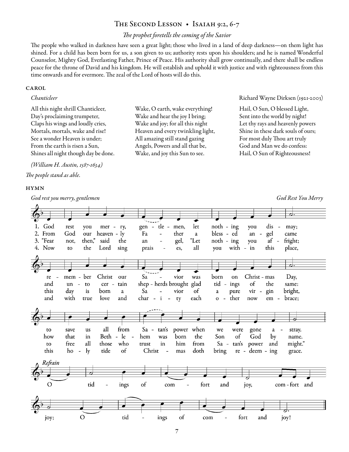# The Second Lesson • Isaiah 9:2, 6-7

# *The prophet foretells the coming of the Savior*

The people who walked in darkness have seen a great light; those who lived in a land of deep darkness—on them light has shined. For a child has been born for us, a son given to us; authority rests upon his shoulders; and he is named Wonderful Counselor, Mighty God, Everlasting Father, Prince of Peace. His authority shall grow continually,and there shall be endless peace for the throne of David and his kingdom. He will establish and uphold it with justice and with righteousness from this time onwards and for evermore. The zeal of the Lord of hosts will do this.

# CAROL

All this night shrill Chanticleer, Day's proclaiming trumpeter, Claps his wings and loudly cries, Mortals, mortals, wake and rise! See a wonder Heaven is under; From the earth is risen a Sun, Shines all night though day be done.

*(William H. Austin, 1587-1634) The people stand as able.*

## **HYMN**

*God rest you merry, gentlemen God Rest You Merry*

Wake, O earth, wake everything! Wake and hear the joy I bring; Wake and joy; for all this night Heaven and every twinkling light, All amazing still stand gazing Angels, Powers and all that be, Wake, and joy this Sun to see.

*Chanticleer* Richard Wayne Dirksen (1921-2003)

Hail, O Sun, O blessed Light, Sent into the world by night! Let thy rays and heavenly powers Shine in these dark souls of ours; For most duly Thou art truly God and Man we do confess: Hail, O Sun of Righteousness!

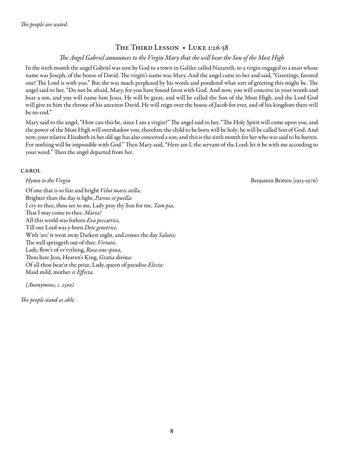# THE THIRD LESSON • LUKE 1:26-38

# *The Angel Gabriel announces to the Virgin Mary that she will bear the Son of the Most High*

In the sixth month the angel Gabriel was sent by God to a town in Galilee called Nazareth, to a virgin engaged to a man whose name was Joseph, of the house of David. The virgin's name was Mary. And the angel came to her and said, "Greetings, favored one! The Lord is with you." But she was much perplexed by his words and pondered what sort of greeting this might be. The angel said to her, "Do not be afraid, Mary, for you have found favor with God. And now, you will conceive in your womb and bear a son, and you will name him Jesus. He will be great, and will be called the Son of the Most High, and the Lord God will give to him the throne of his ancestor David. He will reign over the house of Jacob for ever, and of his kingdom there will be no end."

Mary said to the angel, "How can this be, since I am a virgin?" The angel said to her, "The Holy Spirit will come upon you, and the power of the Most High will overshadow you; therefore the child to be born will be holy; he will be called Son of God. And now, your relative Elizabeth in her old age has also conceived a son; and this is the sixth month for her who was said to be barren. For nothing will be impossible with God." Then Mary said, "Here am I, the servant of the Lord; let it be with me according to your word." Then the angel departed from her.

# **CAROL**

Of one that is so fair and bright *Velut maris stella,*  Brighter than the day is light, *Parens et puella:* I cry to thee, thou see to me, Lady pray thy Son for me, *Tam pia,* That I may come to thee. *Maria!*  All this world was forlorn *Eva peccatrice,*  Till our Lord was y-born *Dete genetrice.*  With 'ave' it went away Darkest night, and comes the day *Salutis;*  The well springeth out of thee. *Virtutis.* Lady, flow'r of ev'rything, *Rosa sine spina,*  Thou bare Jesu, Heaven's King, *Gratia divina:*  Of all thou bear'st the prize, Lady, queen of paradise *Electa:* Maid mild, mother *es Effecta.*

*(Anonymous, c. 1300)*

*The people stand as able.*

*Hymn to the Virgin* **Benjamin Britten (1913-1976) Benjamin Britten (1913-1976**)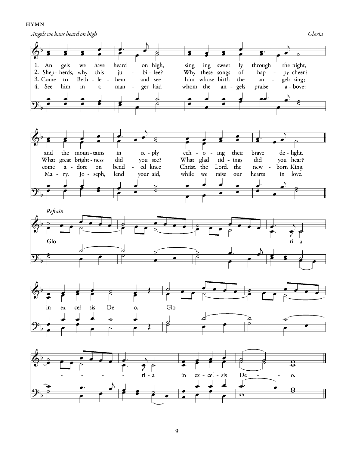#### **HYMN**

*Angels we have heard on high Gloria* 

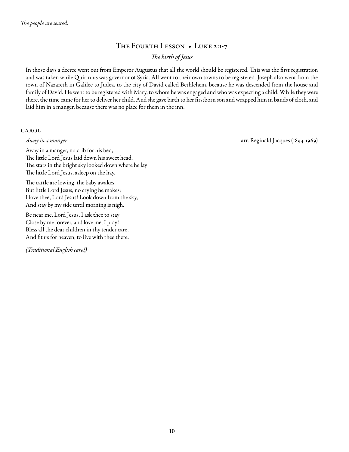# The Fourth Lesson • Luke 2:1-7

*The birth of Jesus*

In those days a decree went out from Emperor Augustus that all the world should be registered. This was the first registration and was taken while Quirinius was governor of Syria. All went to their own towns to be registered. Joseph also went from the town of Nazareth in Galilee to Judea, to the city of David called Bethlehem, because he was descended from the house and family of David. He went to be registered with Mary, to whom he was engaged and who was expecting a child. While they were there, the time came for her to deliver her child. And she gave birth to her firstborn son and wrapped him in bands of cloth, and laid him in a manger, because there was no place for them in the inn.

# **CAROL**

*Away in a manger* arr. Reginald Jacques (1894-1969)

Away in a manger, no crib for his bed, The little Lord Jesus laid down his sweet head. The stars in the bright sky looked down where he lay The little Lord Jesus, asleep on the hay.

The cattle are lowing, the baby awakes, But little Lord Jesus, no crying he makes; I love thee, Lord Jesus! Look down from the sky, And stay by my side until morning is nigh.

Be near me, Lord Jesus, I ask thee to stay Close by me forever, and love me, I pray! Bless all the dear children in thy tender care, And fit us for heaven, to live with thee there.

*(Traditional English carol)*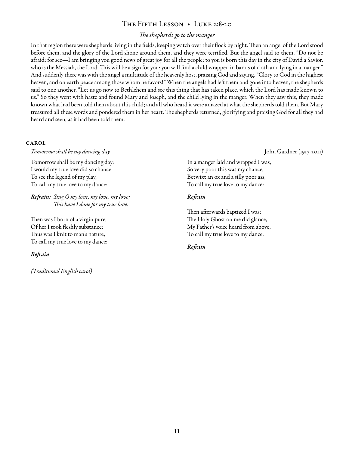# The Fifth Lesson • Luke 2:8-20

# *The shepherds go to the manger*

In that region there were shepherds living in the fields, keeping watch over their flock by night. Then an angel of the Lord stood before them, and the glory of the Lord shone around them, and they were terrified. But the angel said to them, "Do not be afraid; for see—I am bringing you good news of great joy for all the people: to you is born this day in the city of David a Savior, who is the Messiah, the Lord. This will be a sign for you: you will find a child wrapped in bands of cloth and lying in a manger." And suddenly there was with the angel a multitude of the heavenly host, praising God and saying, "Glory to God in the highest heaven, and on earth peace among those whom he favors!" When the angels had left them and gone into heaven, the shepherds said to one another, "Let us go now to Bethlehem and see this thing that has taken place, which the Lord has made known to us." So they went with haste and found Mary and Joseph, and the child lying in the manger. When they saw this, they made known what had been told them about this child; and all who heard it were amazed at what the shepherds told them. But Mary treasured all these words and pondered them in her heart. The shepherds returned, glorifying and praising God for all they had heard and seen, as it had been told them.

#### **CAROL**

*Tomorrow shall be my dancing day* John Gardner (1917-2011)

Tomorrow shall be my dancing day: I would my true love did so chance To see the legend of my play, To call my true love to my dance:

*Refrain: Sing O my love, my love, my love; This have I done for my true love.*

Then was I born of a virgin pure, Of her I took fleshly substance; Thus was I knit to man's nature, To call my true love to my dance:

*Refrain*

*(Traditional English carol)*

In a manger laid and wrapped I was, So very poor this was my chance, Betwixt an ox and a silly poor ass, To call my true love to my dance:

# *Refrain*

Then afterwards baptized I was; The Holy Ghost on me did glance, My Father's voice heard from above, To call my true love to my dance.

# *Refrain*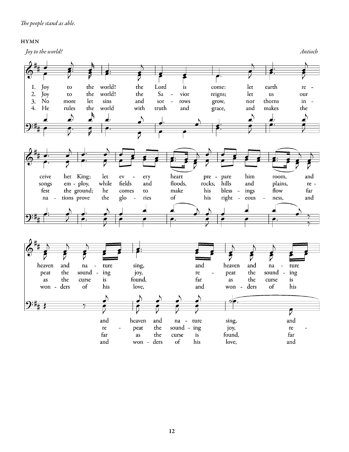# hymn

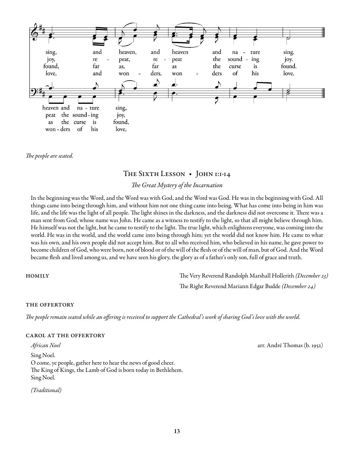

*The people are seated.*

# THE SIXTH LESSON • JOHN 1:1-14

# *The Great Mystery of the Incarnation*

In the beginning was the Word, and the Word was with God, and the Word was God. He was in the beginning with God. All things came into being through him, and without him not one thing came into being. What has come into being in him was life, and the life was the light of all people. The light shines in the darkness, and the darkness did not overcome it. There was a man sent from God, whose name was John. He came as a witness to testify to the light, so that all might believe through him. He himself was not the light, but he came to testify to the light. The true light, which enlightens everyone, was coming into the world. He was in the world, and the world came into being through him; yet the world did not know him. He came to what was his own, and his own people did not accept him. But to all who received him, who believed in his name, he gave power to become children of God, who were born, not of blood or of the will of the flesh or of the will of man, but of God. And the Word became flesh and lived among us, and we have seen his glory, the glory as of a father's only son, full of grace and truth.

homily The Very Reverend Randolph Marshall Hollerith *(December 23)* The Right Reverend Mariann Edgar Budde *(December 24)*

# the offertory

*The people remain seated while an offering is received to support the Cathedral's work of sharing God's love with the world.*

# carol at the offertory

Sing Noel. O come, ye people, gather here to hear the news of good cheer. The King of Kings, the Lamb of God is born today in Bethlehem. Sing Noel.

*(Traditional)*

*African Noel* arr. André Thomas (b. 1952)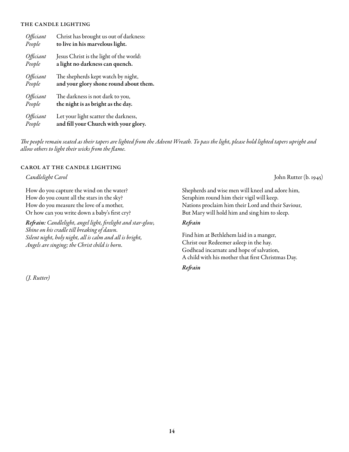# the candle lighting

| Officiant | Christ has brought us out of darkness:  |
|-----------|-----------------------------------------|
| People    | to live in his marvelous light.         |
| Officiant | Jesus Christ is the light of the world: |
| People    | a light no darkness can quench.         |
| Officiant | The shepherds kept watch by night,      |
| People    | and your glory shone round about them.  |
| Officiant | The darkness is not dark to you,        |
| People    | the night is as bright as the day.      |
| Officiant | Let your light scatter the darkness,    |
| People    | and fill your Church with your glory.   |

*The people remain seated as their tapers are lighted from the Advent Wreath. To pass the light, please hold lighted tapers upright and allow others to light their wicks from the flame.*

# carol at the candle lighting

How do you capture the wind on the water? How do you count all the stars in the sky? How do you measure the love of a mother, Or how can you write down a baby's first cry?

*Refrain: Candlelight, angel light, firelight and star-glow, Shine on his cradle till breaking of dawn. Silent night, holy night, all is calm and all is bright, Angels are singing; the Christ child is born.*

*(J. Rutter)*

*Candlelight Carol* John Rutter (b. 1945)

Shepherds and wise men will kneel and adore him, Seraphim round him their vigil will keep. Nations proclaim him their Lord and their Saviour, But Mary will hold him and sing him to sleep.

# *Refrain*

Find him at Bethlehem laid in a manger, Christ our Redeemer asleep in the hay. Godhead incarnate and hope of salvation, A child with his mother that first Christmas Day.

#### *Refrain*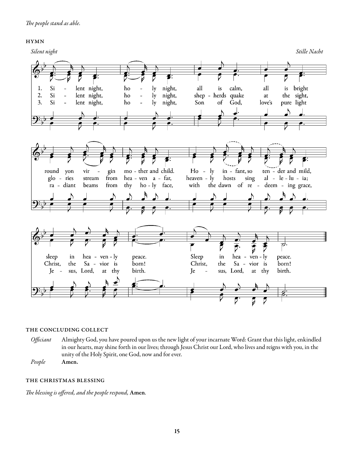# hymn



# the concluding collect

- *Officiant* Almighty God, you have poured upon us the new light of your incarnate Word: Grant that this light, enkindled in our hearts, may shine forth in our lives; through Jesus Christ our Lord, who lives and reigns with you, in the unity of the Holy Spirit, one God, now and for ever.
- *People* Amen.

# the christmas blessing

*The blessing is offered, and the people respond,* Amen*.*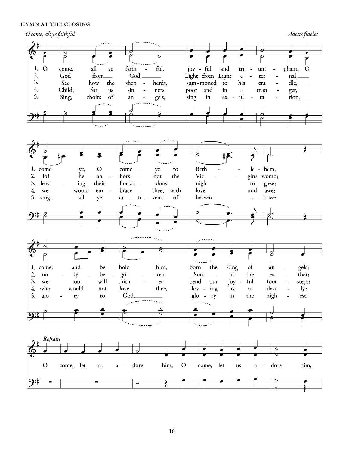# hymn at the closing



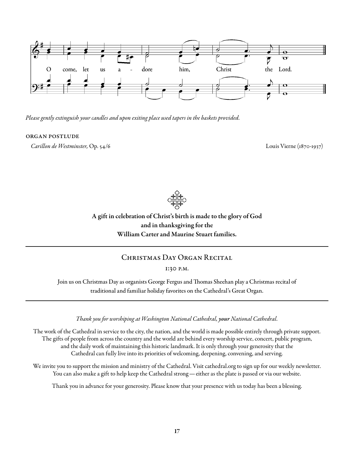

*Please gently extinguish your candles and upon exiting place used tapers in the baskets provided.*

# organ postlude

*Carillon de Westminster,* Op. 54/6Louis Vierne (1870-1937)



A gift in celebration of Christ's birth is made to the glory of God and in thanksgiving for the William Carter and Maurine Stuart families.

# CHRISTMAS DAY ORGAN RECITAL

1:30 p.m.

Join us on Christmas Day as organists George Fergus and Thomas Sheehan play a Christmas recital of traditional and familiar holiday favorites on the Cathedral's Great Organ.

*Thank you for worshiping at Washington National Cathedral, your National Cathedral.* 

The work of the Cathedral in service to the city, the nation, and the world is made possible entirely through private support. The gifts of people from across the country and the world are behind every worship service, concert, public program, and the daily work of maintaining this historic landmark. It is only through your generosity that the Cathedral can fully live into its priorities of welcoming, deepening, convening, and serving.

We invite you to support the mission and ministry of the Cathedral. Visit cathedral.org to sign up for our weekly newsletter. You can also make a gift to help keep the Cathedral strong—either as the plate is passed or via our website.

Thank you in advance for your generosity. Please know that your presence with us today has been a blessing.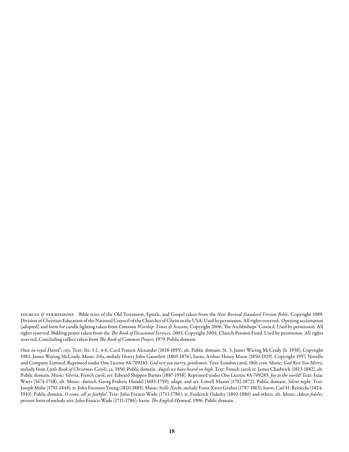sources *&* permissions Bible texts of the Old Testament, Epistle, and Gospel taken from the *New Revised Standard Version Bible,* Copyright 1989, Division of Christian Education of the National Council of the Churches of Christ in the USA. Used by permission. All rights reserved. Opening acclamation (adopted) and form for candle lighting taken from *Common Worship: Times & Seasons,* Copyright 2006, The Archbishops' Council. Used by permission. All rights reserved. Bidding prayer taken from the *The Book of Occasional Services, 2003*, Copyright 2004, Church Pension Fund. Used by permission. All rights reserved. Concluding collect taken from *The Book of Common Prayer*, 1979. Public domain.

*Once in royal David's city*. Text: Sts. 1-2, 4-6, Cecil Francis Alexander (1818-1895), alt. Public domain. St. 3, James Waring McCrady (b. 1938), Copyright 1982, James Waring McCrady. Music: *Irby*, melody Henry John Gauntlett (1805-1876); harm. Arthur Henry Mann (1850-1929). Copyright 1957, Novello and Company Limited. Reprinted under One License #A-709283. *God rest you merry, gentlemen*. Text: London carol, 18th cent. Music: *God Rest You Merry*, melody from *Little Book of Christmas Carols*, ca. 1850. Public domain. *Angels we have heard on high*. Text: French carol; tr. James Chadwick (1813-1882), alt. Public domain. Music: *Gloria*, French carol; arr. Edward Shippen Barnes (1887-1958). Reprinted under One License #A-709283. *Joy to the world!* Text: Isaac Watts (1674-1748), alt. Music: *Antioch*, Georg Frideric Handel (1685-1759); adapt. and arr. Lowell Mason (1792-1872). Public domain. *Silent night*. Text: Joseph Mohr (1792-1848); tr. John Freeman Young (1820-1885). Music: *Stille Nacht*, melody Franz Xaver Gruber (1787-1863); harm. Carl H. Reinecke (1824- 1910). Public domain. *O come, all ye faithful*. Text: John Francis Wade (1711-1786); tr. Frederick Oakeley (1802-1880) and others, alt. Music: *Adeste fideles*, present form of melody attr. John Francis Wade (1711-1786); harm. *The English Hymnal*, 1906. Public domain.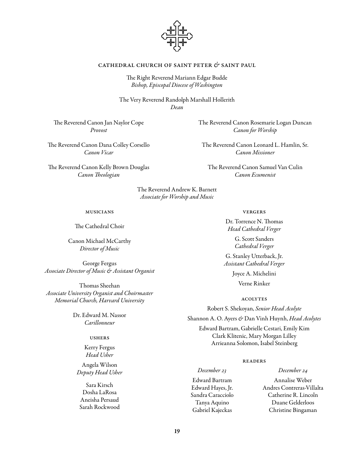

# cathedral church of saint peter *&* saint paul

The Right Reverend Mariann Edgar Budde *Bishop, Episcopal Diocese of Washington*

The Very Reverend Randolph Marshall Hollerith *Dean*

The Reverend Canon Jan Naylor Cope *Provost*

The Reverend Canon Dana Colley Corsello *Canon Vicar* 

The Reverend Canon Kelly Brown Douglas *Canon Theologian*

> The Reverend Andrew K. Barnett *Associate for Worship and Music*

#### musicians

The Cathedral Choir

Canon Michael McCarthy *Director of Music*

George Fergus *Associate Director of Music & Assistant Organist*

Thomas Sheehan *Associate University Organist and Choirmaster Memorial Church, Harvard University*

> Dr. Edward M. Nassor *Carillonneur*

# ushers

Kerry Fergus *Head Usher*

Angela Wilson *Deputy Head Usher*

Sara Kirsch Dosha LaRosa Aneisha Persaud Sarah Rockwood The Reverend Canon Rosemarie Logan Duncan *Canon for Worship*

The Reverend Canon Leonard L. Hamlin, Sr. *Canon Missioner*

The Reverend Canon Samuel Van Culin *Canon Ecumenist*

#### vergers

Dr. Torrence N. Thomas *Head Cathedral Verger*

> G. Scott Sanders *Cathedral Verger*

G. Stanley Utterback, Jr. *Assistant Cathedral Verger*

> Joyce A. Michelini Verne Rinker

> > acolytes

Robert S. Shekoyan, *Senior Head Acolyte*

Shannon A. O. Ayers *&* Dan Vinh Huynh, *Head Acolytes*

Edward Bartram, Gabrielle Cestari, Emily Kim Clark Klitenic, Mary Morgan Lilley Arrieanna Solomon, Isabel Steinberg

# **READERS**

*December 23* Edward Bartram Edward Hayes, Jr. Sandra Caracciolo Tanya Aquino Gabriel Kajeckas

Annalise Weber Andres Contreras-Villalta Catherine R. Lincoln Duane Gelderloos Christine Bingaman

*December 24*